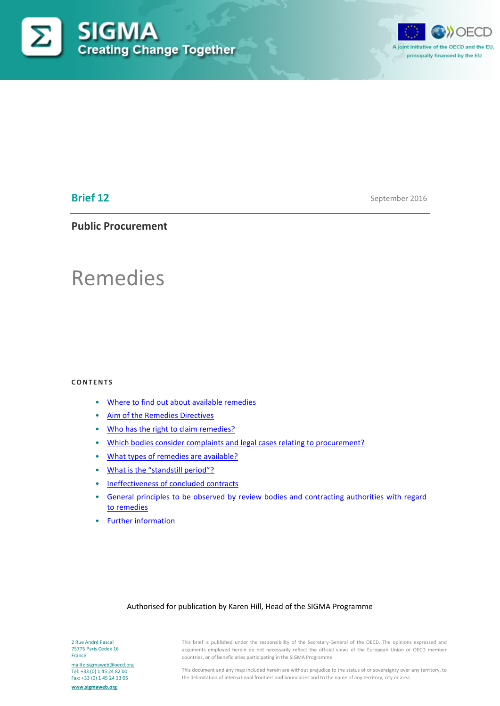



# **Brief 12**

September 2016

# **Public Procurement**

# Remedies

#### **CONTENTS**

- [Where to find out about available remedies](#page-1-0)
- [Aim of the Remedies Directives](#page-1-1)
- [Who has the right to claim remedies?](#page-2-0)
- [Which bodies consider complaints and legal cases relating to procurement?](#page-2-1)
- [What types of remedies are available?](#page-2-2)
- [What is the "standstill period"?](#page-3-0)
- [Ineffectiveness of concluded contracts](#page-4-0)
- [General principles to be observed by review bodies and contracting authorities with regard](#page-5-0)  [to remedies](#page-5-0)
- [Further information](#page-7-0)

#### Authorised for publication by Karen Hill, Head of the SIGMA Programme

2 Rue André Pascal 75775 Paris Cedex 16 France <mailto:sigmaweb@oecd.org>

Tel: +33 (0) 1 45 24 82 00 Fax: +33 (0) 1 45 24 13 05

**[www.sigmaweb.org](http://www.sigmaweb.org/)**

This brief is published under the responsibility of the Secretary-General of the OECD. The opinions expressed and arguments employed herein do not necessarily reflect the official views of the European Union or OECD member countries, or of beneficiaries participating in the SIGMA Programme.

This document and any map included herein are without prejudice to the status of or sovereignty over any territory, to the delimitation of international frontiers and boundaries and to the name of any territory, city or area.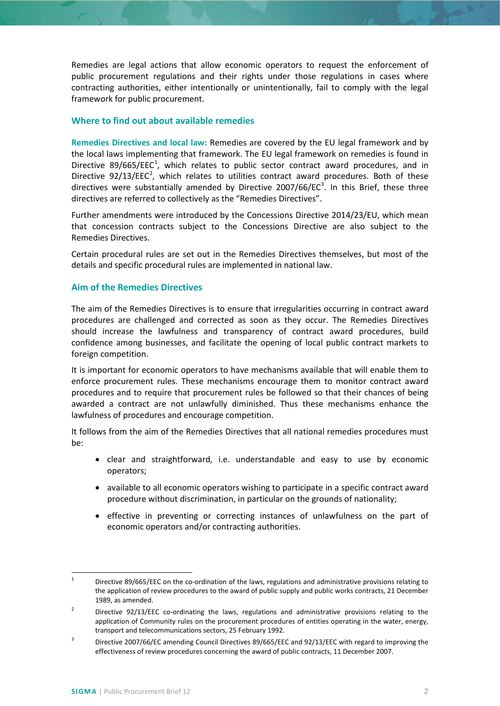Remedies are legal actions that allow economic operators to request the enforcement of public procurement regulations and their rights under those regulations in cases where contracting authorities, either intentionally or unintentionally, fail to comply with the legal framework for public procurement.

## <span id="page-1-0"></span>**Where to find out about available remedies**

**Remedies Directives and local law:** Remedies are covered by the EU legal framework and by the local laws implementing that framework. The EU legal framework on remedies is found in Directive 89/665/EEC<sup>[1](#page-1-2)</sup>, which relates to public sector contract award procedures, and in Directive  $92/13/EEC<sup>2</sup>$  $92/13/EEC<sup>2</sup>$  $92/13/EEC<sup>2</sup>$ , which relates to utilities contract award procedures. Both of these directives were substantially amended by Directive  $2007/66/EC^3$  $2007/66/EC^3$ . In this Brief, these three directives are referred to collectively as the "Remedies Directives".

Further amendments were introduced by the Concessions Directive 2014/23/EU, which mean that concession contracts subject to the Concessions Directive are also subject to the Remedies Directives.

Certain procedural rules are set out in the Remedies Directives themselves, but most of the details and specific procedural rules are implemented in national law.

## <span id="page-1-1"></span>**Aim of the Remedies Directives**

The aim of the Remedies Directives is to ensure that irregularities occurring in contract award procedures are challenged and corrected as soon as they occur. The Remedies Directives should increase the lawfulness and transparency of contract award procedures, build confidence among businesses, and facilitate the opening of local public contract markets to foreign competition.

It is important for economic operators to have mechanisms available that will enable them to enforce procurement rules. These mechanisms encourage them to monitor contract award procedures and to require that procurement rules be followed so that their chances of being awarded a contract are not unlawfully diminished. Thus these mechanisms enhance the lawfulness of procedures and encourage competition.

It follows from the aim of the Remedies Directives that all national remedies procedures must be:

- clear and straightforward, i.e. understandable and easy to use by economic operators;
- available to all economic operators wishing to participate in a specific contract award procedure without discrimination, in particular on the grounds of nationality;
- effective in preventing or correcting instances of unlawfulness on the part of economic operators and/or contracting authorities.

<span id="page-1-2"></span><sup>&</sup>lt;sup>1</sup> Directive 89/665/EEC on the co-ordination of the laws, regulations and administrative provisions relating to the application of review procedures to the award of public supply and public works contracts, 21 December 1989, as amended.

<span id="page-1-3"></span><sup>&</sup>lt;sup>2</sup> Directive 92/13/EEC co-ordinating the laws, regulations and administrative provisions relating to the application of Community rules on the procurement procedures of entities operating in the water, energy, transport and telecommunications sectors, 25 February 1992.

<span id="page-1-4"></span><sup>&</sup>lt;sup>3</sup> Directive 2007/66/EC amending Council Directives 89/665/EEC and 92/13/EEC with regard to improving the effectiveness of review procedures concerning the award of public contracts, 11 December 2007.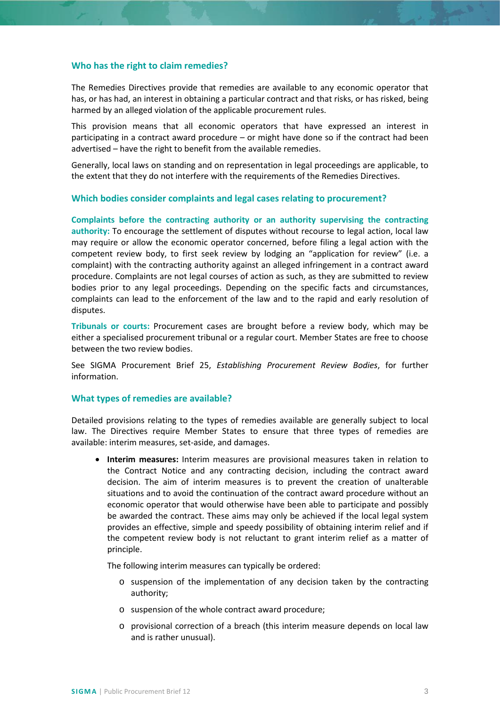#### <span id="page-2-0"></span>**Who has the right to claim remedies?**

The Remedies Directives provide that remedies are available to any economic operator that has, or has had, an interest in obtaining a particular contract and that risks, or has risked, being harmed by an alleged violation of the applicable procurement rules.

This provision means that all economic operators that have expressed an interest in participating in a contract award procedure – or might have done so if the contract had been advertised – have the right to benefit from the available remedies.

Generally, local laws on standing and on representation in legal proceedings are applicable, to the extent that they do not interfere with the requirements of the Remedies Directives.

#### <span id="page-2-1"></span>**Which bodies consider complaints and legal cases relating to procurement?**

**Complaints before the contracting authority or an authority supervising the contracting authority:** To encourage the settlement of disputes without recourse to legal action, local law may require or allow the economic operator concerned, before filing a legal action with the competent review body, to first seek review by lodging an "application for review" (i.e. a complaint) with the contracting authority against an alleged infringement in a contract award procedure. Complaints are not legal courses of action as such, as they are submitted to review bodies prior to any legal proceedings. Depending on the specific facts and circumstances, complaints can lead to the enforcement of the law and to the rapid and early resolution of disputes.

**Tribunals or courts:** Procurement cases are brought before a review body, which may be either a specialised procurement tribunal or a regular court. Member States are free to choose between the two review bodies.

See SIGMA Procurement Brief 25, *Establishing Procurement Review Bodies*, for further information.

#### <span id="page-2-2"></span>**What types of remedies are available?**

Detailed provisions relating to the types of remedies available are generally subject to local law. The Directives require Member States to ensure that three types of remedies are available: interim measures, set-aside, and damages.

• **Interim measures:** Interim measures are provisional measures taken in relation to the Contract Notice and any contracting decision, including the contract award decision. The aim of interim measures is to prevent the creation of unalterable situations and to avoid the continuation of the contract award procedure without an economic operator that would otherwise have been able to participate and possibly be awarded the contract. These aims may only be achieved if the local legal system provides an effective, simple and speedy possibility of obtaining interim relief and if the competent review body is not reluctant to grant interim relief as a matter of principle.

The following interim measures can typically be ordered:

- o suspension of the implementation of any decision taken by the contracting authority;
- o suspension of the whole contract award procedure;
- o provisional correction of a breach (this interim measure depends on local law and is rather unusual).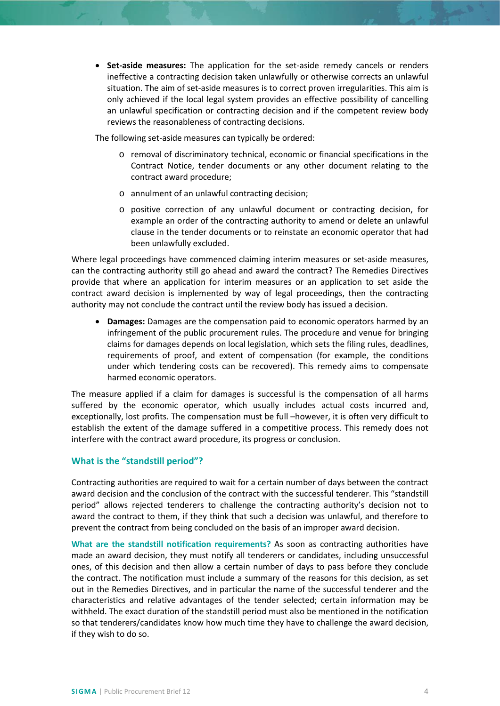• **Set-aside measures:** The application for the set-aside remedy cancels or renders ineffective a contracting decision taken unlawfully or otherwise corrects an unlawful situation. The aim of set-aside measures is to correct proven irregularities. This aim is only achieved if the local legal system provides an effective possibility of cancelling an unlawful specification or contracting decision and if the competent review body reviews the reasonableness of contracting decisions.

The following set-aside measures can typically be ordered:

- o removal of discriminatory technical, economic or financial specifications in the Contract Notice, tender documents or any other document relating to the contract award procedure;
- o annulment of an unlawful contracting decision;
- o positive correction of any unlawful document or contracting decision, for example an order of the contracting authority to amend or delete an unlawful clause in the tender documents or to reinstate an economic operator that had been unlawfully excluded.

Where legal proceedings have commenced claiming interim measures or set-aside measures, can the contracting authority still go ahead and award the contract? The Remedies Directives provide that where an application for interim measures or an application to set aside the contract award decision is implemented by way of legal proceedings, then the contracting authority may not conclude the contract until the review body has issued a decision.

• **Damages:** Damages are the compensation paid to economic operators harmed by an infringement of the public procurement rules. The procedure and venue for bringing claims for damages depends on local legislation, which sets the filing rules, deadlines, requirements of proof, and extent of compensation (for example, the conditions under which tendering costs can be recovered). This remedy aims to compensate harmed economic operators.

The measure applied if a claim for damages is successful is the compensation of all harms suffered by the economic operator, which usually includes actual costs incurred and, exceptionally, lost profits. The compensation must be full –however, it is often very difficult to establish the extent of the damage suffered in a competitive process. This remedy does not interfere with the contract award procedure, its progress or conclusion.

#### <span id="page-3-0"></span>**What is the "standstill period"?**

Contracting authorities are required to wait for a certain number of days between the contract award decision and the conclusion of the contract with the successful tenderer. This "standstill period" allows rejected tenderers to challenge the contracting authority's decision not to award the contract to them, if they think that such a decision was unlawful, and therefore to prevent the contract from being concluded on the basis of an improper award decision.

**What are the standstill notification requirements?** As soon as contracting authorities have made an award decision, they must notify all tenderers or candidates, including unsuccessful ones, of this decision and then allow a certain number of days to pass before they conclude the contract. The notification must include a summary of the reasons for this decision, as set out in the Remedies Directives, and in particular the name of the successful tenderer and the characteristics and relative advantages of the tender selected; certain information may be withheld. The exact duration of the standstill period must also be mentioned in the notification so that tenderers/candidates know how much time they have to challenge the award decision, if they wish to do so.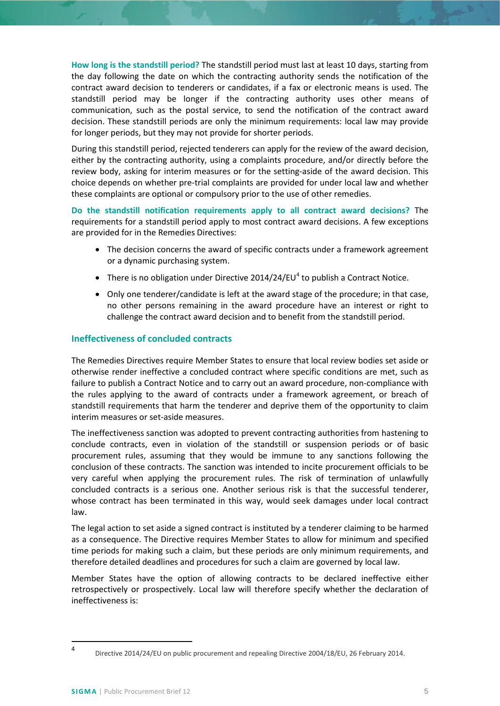**How long is the standstill period?** The standstill period must last at least 10 days, starting from the day following the date on which the contracting authority sends the notification of the contract award decision to tenderers or candidates, if a fax or electronic means is used. The standstill period may be longer if the contracting authority uses other means of communication, such as the postal service, to send the notification of the contract award decision. These standstill periods are only the minimum requirements: local law may provide for longer periods, but they may not provide for shorter periods.

During this standstill period, rejected tenderers can apply for the review of the award decision, either by the contracting authority, using a complaints procedure, and/or directly before the review body, asking for interim measures or for the setting-aside of the award decision. This choice depends on whether pre-trial complaints are provided for under local law and whether these complaints are optional or compulsory prior to the use of other remedies.

**Do the standstill notification requirements apply to all contract award decisions?** The requirements for a standstill period apply to most contract award decisions. A few exceptions are provided for in the Remedies Directives:

- The decision concerns the award of specific contracts under a framework agreement or a dynamic purchasing system.
- There is no obligation under Directive 201[4](#page-4-1)/24/EU<sup>4</sup> to publish a Contract Notice.
- Only one tenderer/candidate is left at the award stage of the procedure; in that case, no other persons remaining in the award procedure have an interest or right to challenge the contract award decision and to benefit from the standstill period.

## <span id="page-4-0"></span>**Ineffectiveness of concluded contracts**

The Remedies Directives require Member States to ensure that local review bodies set aside or otherwise render ineffective a concluded contract where specific conditions are met, such as failure to publish a Contract Notice and to carry out an award procedure, non-compliance with the rules applying to the award of contracts under a framework agreement, or breach of standstill requirements that harm the tenderer and deprive them of the opportunity to claim interim measures or set-aside measures.

The ineffectiveness sanction was adopted to prevent contracting authorities from hastening to conclude contracts, even in violation of the standstill or suspension periods or of basic procurement rules, assuming that they would be immune to any sanctions following the conclusion of these contracts. The sanction was intended to incite procurement officials to be very careful when applying the procurement rules. The risk of termination of unlawfully concluded contracts is a serious one. Another serious risk is that the successful tenderer, whose contract has been terminated in this way, would seek damages under local contract law.

The legal action to set aside a signed contract is instituted by a tenderer claiming to be harmed as a consequence. The Directive requires Member States to allow for minimum and specified time periods for making such a claim, but these periods are only minimum requirements, and therefore detailed deadlines and procedures for such a claim are governed by local law.

Member States have the option of allowing contracts to be declared ineffective either retrospectively or prospectively. Local law will therefore specify whether the declaration of ineffectiveness is:

<span id="page-4-1"></span> <sup>4</sup> Directive 2014/24/EU on public procurement and repealing Directive 2004/18/EU, 26 February 2014.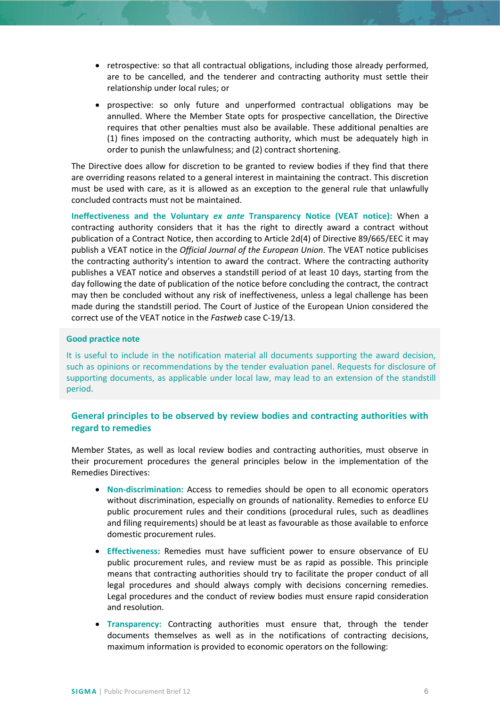- retrospective: so that all contractual obligations, including those already performed, are to be cancelled, and the tenderer and contracting authority must settle their relationship under local rules; or
- prospective: so only future and unperformed contractual obligations may be annulled. Where the Member State opts for prospective cancellation, the Directive requires that other penalties must also be available. These additional penalties are (1) fines imposed on the contracting authority, which must be adequately high in order to punish the unlawfulness; and (2) contract shortening.

The Directive does allow for discretion to be granted to review bodies if they find that there are overriding reasons related to a general interest in maintaining the contract. This discretion must be used with care, as it is allowed as an exception to the general rule that unlawfully concluded contracts must not be maintained.

**Ineffectiveness and the Voluntary** *ex ante* **Transparency Notice (VEAT notice):** When a contracting authority considers that it has the right to directly award a contract without publication of a Contract Notice, then according to Article 2d(4) of Directive 89/665/EEC it may publish a VEAT notice in the *Official Journal of the European Union*. The VEAT notice publicises the contracting authority's intention to award the contract. Where the contracting authority publishes a VEAT notice and observes a standstill period of at least 10 days, starting from the day following the date of publication of the notice before concluding the contract, the contract may then be concluded without any risk of ineffectiveness, unless a legal challenge has been made during the standstill period. The Court of Justice of the European Union considered the correct use of the VEAT notice in the *Fastweb* case C-19/13.

## **Good practice note**

It is useful to include in the notification material all documents supporting the award decision, such as opinions or recommendations by the tender evaluation panel. Requests for disclosure of supporting documents, as applicable under local law, may lead to an extension of the standstill period.

# <span id="page-5-0"></span>**General principles to be observed by review bodies and contracting authorities with regard to remedies**

Member States, as well as local review bodies and contracting authorities, must observe in their procurement procedures the general principles below in the implementation of the Remedies Directives:

- **Non-discrimination:** Access to remedies should be open to all economic operators without discrimination, especially on grounds of nationality. Remedies to enforce EU public procurement rules and their conditions (procedural rules, such as deadlines and filing requirements) should be at least as favourable as those available to enforce domestic procurement rules.
- **Effectiveness:** Remedies must have sufficient power to ensure observance of EU public procurement rules, and review must be as rapid as possible. This principle means that contracting authorities should try to facilitate the proper conduct of all legal procedures and should always comply with decisions concerning remedies. Legal procedures and the conduct of review bodies must ensure rapid consideration and resolution.
- **Transparency:** Contracting authorities must ensure that, through the tender documents themselves as well as in the notifications of contracting decisions, maximum information is provided to economic operators on the following: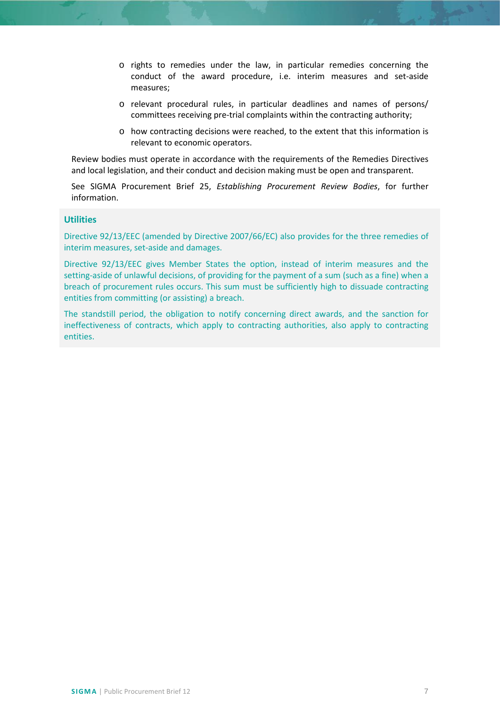- o rights to remedies under the law, in particular remedies concerning the conduct of the award procedure, i.e. interim measures and set-aside measures;
- o relevant procedural rules, in particular deadlines and names of persons/ committees receiving pre-trial complaints within the contracting authority;
- o how contracting decisions were reached, to the extent that this information is relevant to economic operators.

Review bodies must operate in accordance with the requirements of the Remedies Directives and local legislation, and their conduct and decision making must be open and transparent.

See SIGMA Procurement Brief 25, *Establishing Procurement Review Bodies*, for further information.

## **Utilities**

Directive 92/13/EEC (amended by Directive 2007/66/EC) also provides for the three remedies of interim measures, set-aside and damages.

Directive 92/13/EEC gives Member States the option, instead of interim measures and the setting-aside of unlawful decisions, of providing for the payment of a sum (such as a fine) when a breach of procurement rules occurs. This sum must be sufficiently high to dissuade contracting entities from committing (or assisting) a breach.

The standstill period, the obligation to notify concerning direct awards, and the sanction for ineffectiveness of contracts, which apply to contracting authorities, also apply to contracting entities.